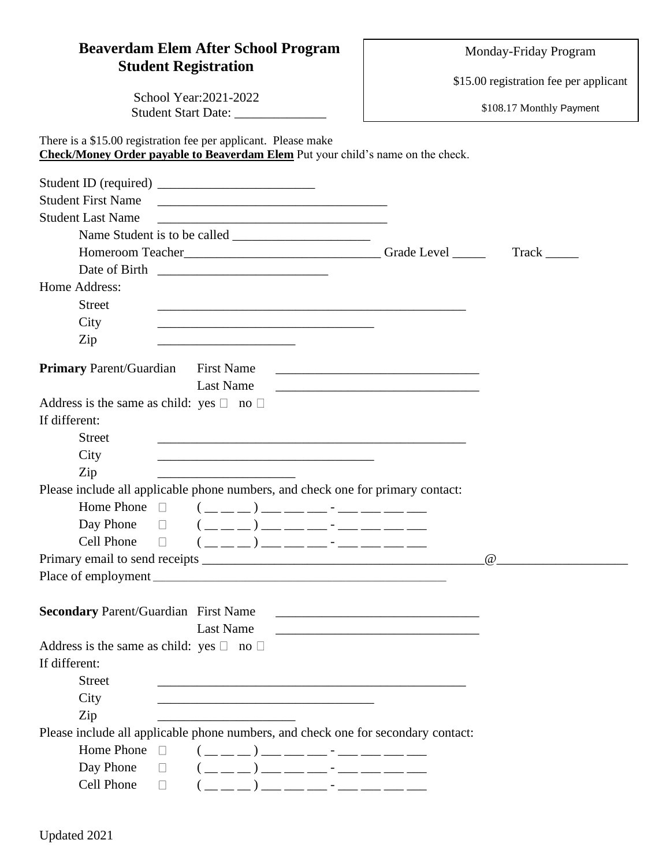## **Beaverdam Elem After School Program Student Registration**

Monday-Friday Program

\$15.00 registration fee per applicant

School Year:2021-2022 Student Start Date: \_\_\_\_\_\_\_\_\_\_\_\_

There is a \$15.00 registration fee per applicant. Please make

\$108.17 Monthly Payment

**Check/Money Order payable to Beaverdam Elem** Put your child's name on the check. Student ID (required) \_\_\_\_\_\_\_\_\_\_\_\_\_\_\_\_\_\_\_\_\_\_\_\_ Student First Name Student Last Name \_\_\_\_\_\_\_\_\_\_\_\_\_\_\_\_\_\_\_\_\_\_\_\_\_\_\_\_\_\_\_\_\_\_\_ Name Student is to be called \_\_\_\_\_\_\_\_\_\_\_\_\_\_\_\_\_\_\_\_\_ Homeroom Teacher\_\_\_\_\_\_\_\_\_\_\_\_\_\_\_\_\_\_\_\_\_\_\_\_\_\_\_\_\_\_\_Grade Level \_\_\_\_\_\_\_\_\_\_\_\_Track \_\_\_\_\_ Date of Birth \_\_\_\_\_\_\_\_\_\_\_\_\_\_\_\_\_\_\_\_\_\_\_\_\_\_ Home Address: Street \_\_\_\_\_\_\_\_\_\_\_\_\_\_\_\_\_\_\_\_\_\_\_\_\_\_\_\_\_\_\_\_\_\_\_\_\_\_\_\_\_\_\_\_\_\_\_ City \_\_\_\_\_\_\_\_\_\_\_\_\_\_\_\_\_\_\_\_\_\_\_\_\_\_\_\_\_\_\_\_\_  $\mathsf{Zip}$ **Primary** Parent/Guardian First Name Last Name Address is the same as child: yes  $\Box$  no  $\Box$ If different: Street \_\_\_\_\_\_\_\_\_\_\_\_\_\_\_\_\_\_\_\_\_\_\_\_\_\_\_\_\_\_\_\_\_\_\_\_\_\_\_\_\_\_\_\_\_\_\_ City \_\_\_\_\_\_\_\_\_\_\_\_\_\_\_\_\_\_\_\_\_\_\_\_\_\_\_\_\_\_\_\_\_  $\mathsf{Zip}$ Please include all applicable phone numbers, and check one for primary contact: Home Phone  $\Box$   $(\_ \_ \_ )$ Day Phone  $\Box$   $(\underline{\hspace{1cm}}\underline{\hspace{1cm}})$   $\underline{\hspace{1cm}}$   $\underline{\hspace{1cm}}$   $\underline{\hspace{1cm}}$   $\underline{\hspace{1cm}}$   $\underline{\hspace{1cm}}$   $\underline{\hspace{1cm}}$   $\underline{\hspace{1cm}}$   $\underline{\hspace{1cm}}$   $\underline{\hspace{1cm}}$   $\underline{\hspace{1cm}}$   $\underline{\hspace{1cm}}$   $\underline{\hspace{1cm}}$   $\underline{\hspace{1cm}}$   $\underline{\hspace{1cm}}$   $\underline{\hspace{1cm}}$   $\underline{\$ Cell Phone  $\Box$   $(\_ \_ \_ )$ Primary email to send receipts \_\_\_\_\_\_\_\_\_\_\_\_\_\_\_\_\_\_\_\_\_\_\_\_\_\_\_\_\_\_\_\_\_\_\_\_\_\_\_\_\_\_\_@\_\_\_\_\_\_\_\_\_\_\_\_\_\_\_\_\_\_\_\_ Place of employment \_\_\_\_\_\_\_\_\_\_\_\_\_\_\_\_\_\_\_\_\_\_\_\_\_\_\_\_\_\_\_\_\_\_\_\_\_\_\_\_\_\_\_\_\_\_\_\_\_\_\_\_\_\_\_\_\_\_\_\_\_\_\_\_\_\_\_ **Secondary** Parent/Guardian First Name Last Name Address is the same as child: yes  $\Box$  no  $\Box$ If different: Street \_\_\_\_\_\_\_\_\_\_\_\_\_\_\_\_\_\_\_\_\_\_\_\_\_\_\_\_\_\_\_\_\_\_\_\_\_\_\_\_\_\_\_\_\_\_\_ City  $\mathsf{Zip}$ Please include all applicable phone numbers, and check one for secondary contact: Home Phone  $\Box$   $(\underline{\hspace{1cm}}\underline{\hspace{1cm}})$   $\underline{\hspace{1cm}}$   $\underline{\hspace{1cm}}$   $\underline{\hspace{1cm}}$   $\underline{\hspace{1cm}}$   $\underline{\hspace{1cm}}$   $\underline{\hspace{1cm}}$   $\underline{\hspace{1cm}}$   $\underline{\hspace{1cm}}$   $\underline{\hspace{1cm}}$   $\underline{\hspace{1cm}}$   $\underline{\hspace{1cm}}$   $\underline{\hspace{1cm}}$   $\underline{\hspace{1cm}}$   $\underline{\hspace{1cm}}$   $\underline{\hspace{1cm}}$   $\underline$ Day Phone  $\Box$   $(\underline{\hspace{1cm}} \underline{\hspace{1cm}})$   $\underline{\hspace{1cm}}$   $\underline{\hspace{1cm}}$   $\underline{\hspace{1cm}}$   $\underline{\hspace{1cm}}$   $\underline{\hspace{1cm}}$   $\underline{\hspace{1cm}}$   $\underline{\hspace{1cm}}$   $\underline{\hspace{1cm}}$   $\underline{\hspace{1cm}}$   $\underline{\hspace{1cm}}$   $\underline{\hspace{1cm}}$   $\underline{\hspace{1cm}}$   $\underline{\hspace{1cm}}$   $\underline{\hspace{1cm}}$   $\underline{\hspace{1cm}}$   $\underline{\$ Cell Phone  $\Box$   $(\_ \_ \_ )$   $(\_ \_ \_ )$   $\_$   $\_$   $\_$